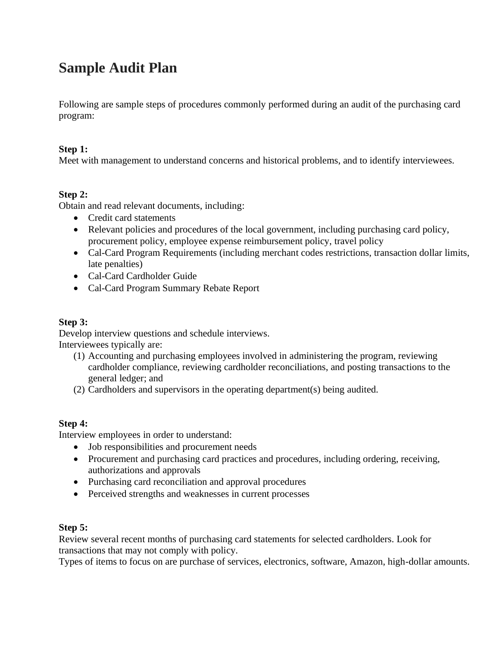# **Sample Audit Plan**

Following are sample steps of procedures commonly performed during an audit of the purchasing card program:

### **Step 1:**

Meet with management to understand concerns and historical problems, and to identify interviewees.

## **Step 2:**

Obtain and read relevant documents, including:

- Credit card statements
- Relevant policies and procedures of the local government, including purchasing card policy, procurement policy, employee expense reimbursement policy, travel policy
- Cal-Card Program Requirements (including merchant codes restrictions, transaction dollar limits, late penalties)
- Cal-Card Cardholder Guide
- Cal-Card Program Summary Rebate Report

### **Step 3:**

Develop interview questions and schedule interviews. Interviewees typically are:

- (1) Accounting and purchasing employees involved in administering the program, reviewing cardholder compliance, reviewing cardholder reconciliations, and posting transactions to the general ledger; and
- (2) Cardholders and supervisors in the operating department(s) being audited.

### **Step 4:**

Interview employees in order to understand:

- Job responsibilities and procurement needs
- Procurement and purchasing card practices and procedures, including ordering, receiving, authorizations and approvals
- Purchasing card reconciliation and approval procedures
- Perceived strengths and weaknesses in current processes

### **Step 5:**

Review several recent months of purchasing card statements for selected cardholders. Look for transactions that may not comply with policy.

Types of items to focus on are purchase of services, electronics, software, Amazon, high-dollar amounts.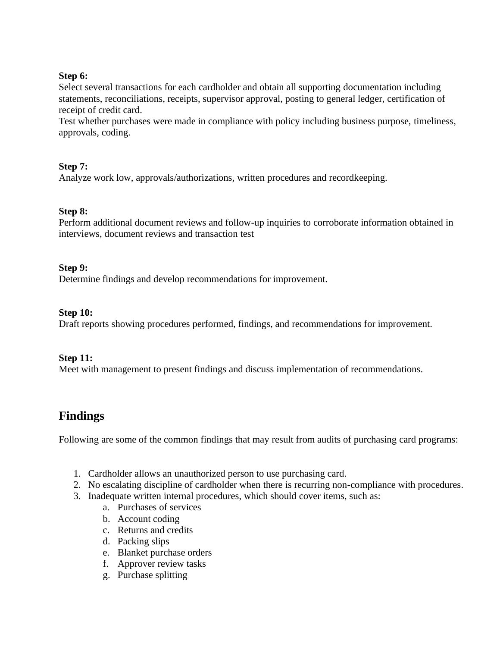#### **Step 6:**

Select several transactions for each cardholder and obtain all supporting documentation including statements, reconciliations, receipts, supervisor approval, posting to general ledger, certification of receipt of credit card.

Test whether purchases were made in compliance with policy including business purpose, timeliness, approvals, coding.

### **Step 7:**

Analyze work low, approvals/authorizations, written procedures and recordkeeping.

#### **Step 8:**

Perform additional document reviews and follow-up inquiries to corroborate information obtained in interviews, document reviews and transaction test

#### **Step 9:**

Determine findings and develop recommendations for improvement.

#### **Step 10:**

Draft reports showing procedures performed, findings, and recommendations for improvement.

#### **Step 11:**

Meet with management to present findings and discuss implementation of recommendations.

# **Findings**

Following are some of the common findings that may result from audits of purchasing card programs:

- 1. Cardholder allows an unauthorized person to use purchasing card.
- 2. No escalating discipline of cardholder when there is recurring non-compliance with procedures.
- 3. Inadequate written internal procedures, which should cover items, such as:
	- a. Purchases of services
	- b. Account coding
	- c. Returns and credits
	- d. Packing slips
	- e. Blanket purchase orders
	- f. Approver review tasks
	- g. Purchase splitting